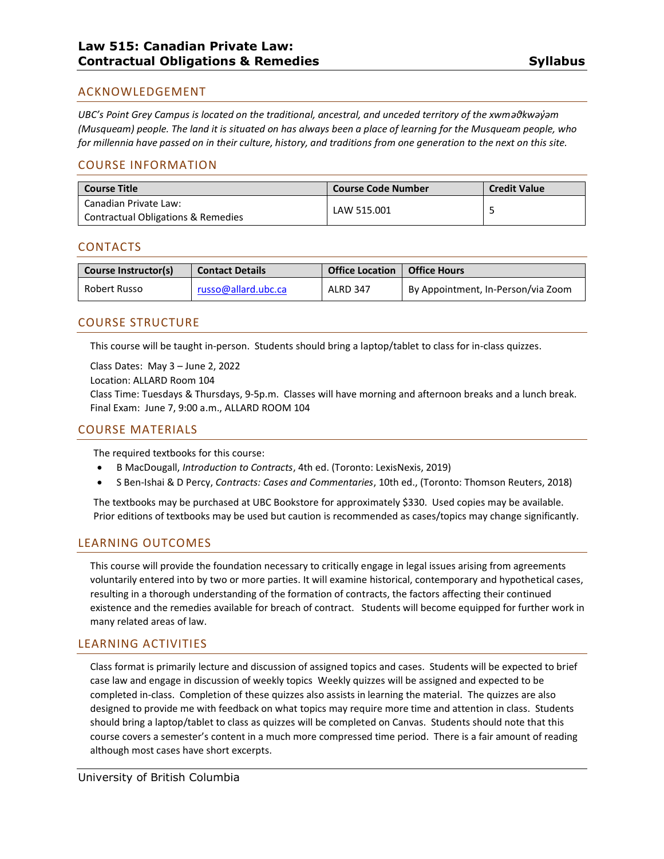# ACKNOWLEDGEMENT

*UBC's Point Grey Campus is located on the traditional, ancestral, and unceded territory of the xwməθkwəy̓əm (Musqueam) people. The land it is situated on has always been a place of learning for the Musqueam people, who for millennia have passed on in their culture, history, and traditions from one generation to the next on this site.*

## COURSE INFORMATION

| <b>Course Code Number</b> | <b>Credit Value</b> |
|---------------------------|---------------------|
| LAW 515.001               |                     |
|                           |                     |

## CONTACTS

| Course Instructor(s) | <b>Contact Details</b> | <b>Office Location</b> | <b>Office Hours</b>                |
|----------------------|------------------------|------------------------|------------------------------------|
| Robert Russo         | russo@allard.ubc.ca    | <b>ALRD 347</b>        | By Appointment, In-Person/via Zoom |

## COURSE STRUCTURE

This course will be taught in-person. Students should bring a laptop/tablet to class for in-class quizzes.

Class Dates: May 3 – June 2, 2022

Location: ALLARD Room 104

Class Time: Tuesdays & Thursdays, 9-5p.m. Classes will have morning and afternoon breaks and a lunch break. Final Exam: June 7, 9:00 a.m., ALLARD ROOM 104

### COURSE MATERIALS

The required textbooks for this course:

- B MacDougall, *Introduction to Contracts*, 4th ed. (Toronto: LexisNexis, 2019)
- S Ben-Ishai & D Percy, *Contracts: Cases and Commentaries*, 10th ed., (Toronto: Thomson Reuters, 2018)

The textbooks may be purchased at UBC Bookstore for approximately \$330. Used copies may be available. Prior editions of textbooks may be used but caution is recommended as cases/topics may change significantly.

## LEARNING OUTCOMES

This course will provide the foundation necessary to critically engage in legal issues arising from agreements voluntarily entered into by two or more parties. It will examine historical, contemporary and hypothetical cases, resulting in a thorough understanding of the formation of contracts, the factors affecting their continued existence and the remedies available for breach of contract. Students will become equipped for further work in many related areas of law.

## LEARNING ACTIVITIES

Class format is primarily lecture and discussion of assigned topics and cases. Students will be expected to brief case law and engage in discussion of weekly topics Weekly quizzes will be assigned and expected to be completed in-class. Completion of these quizzes also assists in learning the material. The quizzes are also designed to provide me with feedback on what topics may require more time and attention in class. Students should bring a laptop/tablet to class as quizzes will be completed on Canvas. Students should note that this course covers a semester's content in a much more compressed time period. There is a fair amount of reading although most cases have short excerpts.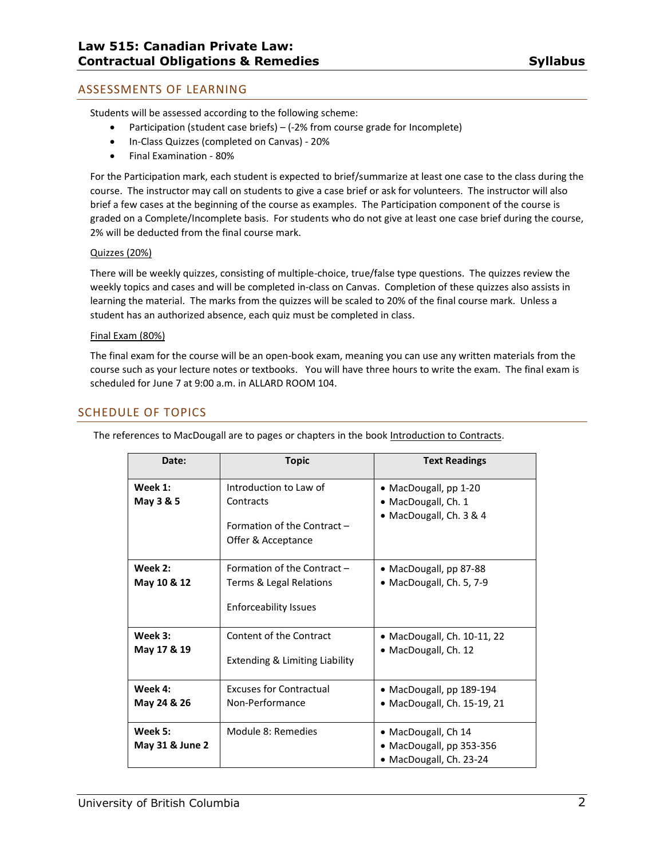# ASSESSMENTS OF LEARNING

Students will be assessed according to the following scheme:

- Participation (student case briefs) (-2% from course grade for Incomplete)
- In-Class Quizzes (completed on Canvas) 20%
- Final Examination 80%

For the Participation mark, each student is expected to brief/summarize at least one case to the class during the course. The instructor may call on students to give a case brief or ask for volunteers. The instructor will also brief a few cases at the beginning of the course as examples. The Participation component of the course is graded on a Complete/Incomplete basis. For students who do not give at least one case brief during the course, 2% will be deducted from the final course mark.

#### Quizzes (20%)

There will be weekly quizzes, consisting of multiple-choice, true/false type questions. The quizzes review the weekly topics and cases and will be completed in-class on Canvas. Completion of these quizzes also assists in learning the material. The marks from the quizzes will be scaled to 20% of the final course mark. Unless a student has an authorized absence, each quiz must be completed in class.

#### Final Exam (80%)

The final exam for the course will be an open-book exam, meaning you can use any written materials from the course such as your lecture notes or textbooks. You will have three hours to write the exam. The final exam is scheduled for June 7 at 9:00 a.m. in ALLARD ROOM 104.

## SCHEDULE OF TOPICS

| Date:           | <b>Topic</b>                                      | <b>Text Readings</b>           |
|-----------------|---------------------------------------------------|--------------------------------|
|                 |                                                   |                                |
| Week 1:         | Introduction to Law of                            | • MacDougall, $pp 1-20$        |
| May 3 & 5       | Contracts                                         | $\bullet$ MacDougall, Ch. 1    |
|                 | Formation of the Contract -<br>Offer & Acceptance | • MacDougall, Ch. 3 & 4        |
| Week 2:         | Formation of the Contract -                       | • MacDougall, pp 87-88         |
| May 10 & 12     | Terms & Legal Relations                           | · MacDougall, Ch. 5, 7-9       |
|                 | <b>Enforceability Issues</b>                      |                                |
| Week 3:         | Content of the Contract                           | • MacDougall, Ch. $10-11$ , 22 |
| May 17 & 19     |                                                   | • MacDougall, Ch. 12           |
|                 | <b>Extending &amp; Limiting Liability</b>         |                                |
| Week 4:         | <b>Excuses for Contractual</b>                    | • MacDougall, pp 189-194       |
| May 24 & 26     | Non-Performance                                   | • MacDougall, Ch. 15-19, 21    |
| Week 5:         | Module 8: Remedies                                | • MacDougall, Ch 14            |
| May 31 & June 2 |                                                   | • MacDougall, pp 353-356       |
|                 |                                                   | • MacDougall, Ch. 23-24        |

The references to MacDougall are to pages or chapters in the book Introduction to Contracts.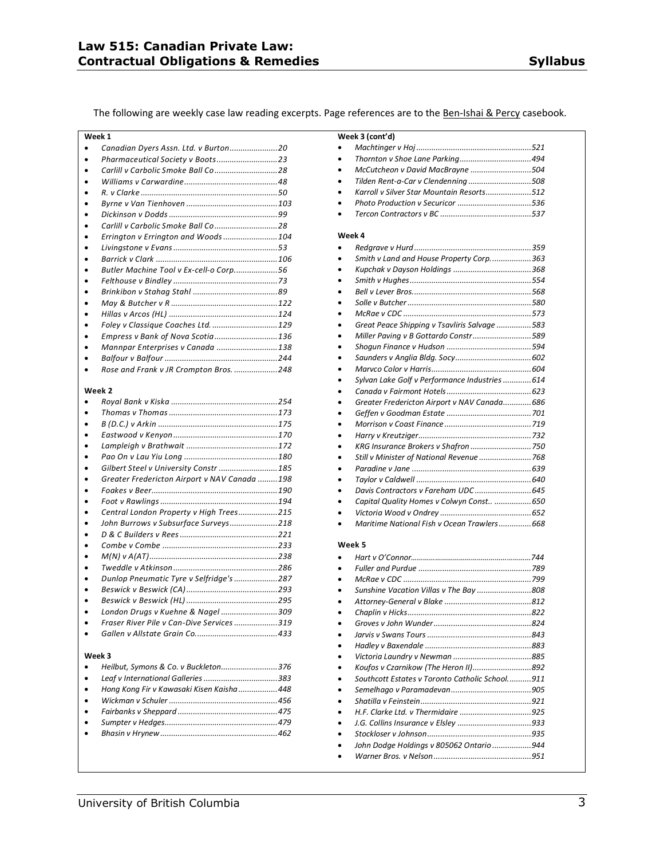The following are weekly case law reading excerpts. Page references are to the Ben-Ishai & Percy casebook.

| Week 1                                 |  |
|----------------------------------------|--|
| Canadian Dyers Assn. Ltd. v Burton20   |  |
|                                        |  |
|                                        |  |
|                                        |  |
|                                        |  |
|                                        |  |
|                                        |  |
|                                        |  |
| Errington v Errington and Woods104     |  |
|                                        |  |
|                                        |  |
| Butler Machine Tool v Ex-cell-o Corp56 |  |
|                                        |  |
|                                        |  |
|                                        |  |
|                                        |  |
| Foley v Classique Coaches Ltd.  129    |  |
| Empress v Bank of Nova Scotia136       |  |
| Mannpar Enterprises v Canada 138       |  |
|                                        |  |
| Rose and Frank v JR Crompton Bros. 248 |  |
|                                        |  |

#### **Week 2**

| Gilbert Steel v University Constr  185       |  |
|----------------------------------------------|--|
| Greater Fredericton Airport v NAV Canada 198 |  |
|                                              |  |
|                                              |  |
| Central London Property v High Trees215      |  |
| John Burrows v Subsurface Surveys218         |  |
|                                              |  |
|                                              |  |
|                                              |  |
|                                              |  |
| Dunlop Pneumatic Tyre v Selfridge's 287      |  |
|                                              |  |
|                                              |  |
| London Drugs v Kuehne & Nagel 309            |  |
| Fraser River Pile v Can-Dive Services 319    |  |
|                                              |  |
| Week 3                                       |  |
| Heilbut, Symons & Co. v Buckleton376         |  |
| Leaf v International Galleries 383           |  |
| Hong Kong Fir v Kawasaki Kisen Kaisha  448   |  |
|                                              |  |
|                                              |  |

| $\bullet$ |  |
|-----------|--|
| $\bullet$ |  |
| $\bullet$ |  |
| $\bullet$ |  |
|           |  |

| Week 3 (cont'd)                                |  |
|------------------------------------------------|--|
|                                                |  |
|                                                |  |
| McCutcheon v David MacBrayne 504               |  |
| Tilden Rent-a-Car v Clendenning 508            |  |
| Karroll y Silver Star Mountain Resorts512      |  |
| Photo Production v Securicor 536               |  |
|                                                |  |
|                                                |  |
| Week 4                                         |  |
|                                                |  |
| Smith v Land and House Property Corp363        |  |
|                                                |  |
|                                                |  |
|                                                |  |
|                                                |  |
|                                                |  |
| Great Peace Shipping v Tsavliris Salvage 583   |  |
| Miller Paving v B Gottardo Constr589           |  |
|                                                |  |
|                                                |  |
|                                                |  |
| Sylvan Lake Golf v Performance Industries  614 |  |
|                                                |  |
| Greater Fredericton Airport v NAV Canada686    |  |
|                                                |  |
|                                                |  |
|                                                |  |
| KRG Insurance Brokers v Shafron 750            |  |
| Still v Minister of National Revenue  768      |  |
|                                                |  |
|                                                |  |
| Davis Contractors v Fareham UDC 645            |  |
| Capital Quality Homes v Colwyn Const  650      |  |
|                                                |  |
| Maritime National Fish y Ocean Trawlers668     |  |
|                                                |  |
| Week 5                                         |  |
|                                                |  |
|                                                |  |
|                                                |  |
| Sunshine Vacation Villas v The Bay 808         |  |
|                                                |  |
|                                                |  |
|                                                |  |

| Southcott Estates y Toronto Catholic School911 |  |
|------------------------------------------------|--|
|                                                |  |
|                                                |  |
|                                                |  |
|                                                |  |
|                                                |  |
| John Dodge Holdings v 805062 Ontario944        |  |
|                                                |  |
|                                                |  |